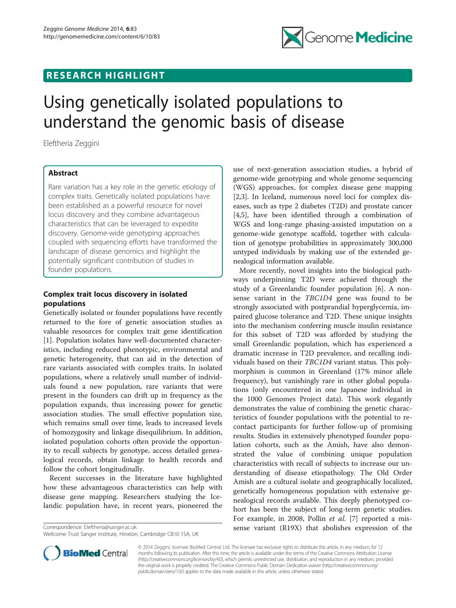## RESEARCH HIGHLIGHT



# Using genetically isolated populations to understand the genomic basis of disease

Eleftheria Zeggini

## Abstract

Rare variation has a key role in the genetic etiology of complex traits. Genetically isolated populations have been established as a powerful resource for novel locus discovery and they combine advantageous characteristics that can be leveraged to expedite discovery. Genome-wide genotyping approaches coupled with sequencing efforts have transformed the landscape of disease genomics and highlight the potentially significant contribution of studies in founder populations.

### Complex trait locus discovery in isolated populations

Genetically isolated or founder populations have recently returned to the fore of genetic association studies as valuable resources for complex trait gene identification [[1\]](#page-1-0). Population isolates have well-documented characteristics, including reduced phenotypic, environmental and genetic heterogeneity, that can aid in the detection of rare variants associated with complex traits. In isolated populations, where a relatively small number of individuals found a new population, rare variants that were present in the founders can drift up in frequency as the population expands, thus increasing power for genetic association studies. The small effective population size, which remains small over time, leads to increased levels of homozygosity and linkage disequilibrium. In addition, isolated population cohorts often provide the opportunity to recall subjects by genotype, access detailed genealogical records, obtain linkage to health records and follow the cohort longitudinally.

Recent successes in the literature have highlighted how these advantageous characteristics can help with disease gene mapping. Researchers studying the Icelandic population have, in recent years, pioneered the

Correspondence: [Eleftheria@sanger.ac.uk](mailto:Eleftheria@sanger.ac.uk)

Wellcome Trust Sanger Institute, Hinxton, Cambridge CB10 1SA, UK

use of next-generation association studies, a hybrid of genome-wide genotyping and whole genome sequencing (WGS) approaches, for complex disease gene mapping [[2,3\]](#page-1-0). In Iceland, numerous novel loci for complex diseases, such as type 2 diabetes (T2D) and prostate cancer [[4,5\]](#page-1-0), have been identified through a combination of WGS and long-range phasing-assisted imputation on a genome-wide genotype scaffold, together with calculation of genotype probabilities in approximately 300,000 untyped individuals by making use of the extended genealogical information available.

More recently, novel insights into the biological pathways underpinning T2D were achieved through the study of a Greenlandic founder population [\[6](#page-1-0)]. A nonsense variant in the TBC1D4 gene was found to be strongly associated with postprandial hyperglycemia, impaired glucose tolerance and T2D. These unique insights into the mechanism conferring muscle insulin resistance for this subset of T2D was afforded by studying the small Greenlandic population, which has experienced a dramatic increase in T2D prevalence, and recalling individuals based on their TBC1D4 variant status. This polymorphism is common in Greenland (17% minor allele frequency), but vanishingly rare in other global populations (only encountered in one Japanese individual in the 1000 Genomes Project data). This work elegantly demonstrates the value of combining the genetic characteristics of founder populations with the potential to recontact participants for further follow-up of promising results. Studies in extensively phenotyped founder population cohorts, such as the Amish, have also demonstrated the value of combining unique population characteristics with recall of subjects to increase our understanding of disease etiopathology. The Old Order Amish are a cultural isolate and geographically localized, genetically homogeneous population with extensive genealogical records available. This deeply phenotyped cohort has been the subject of long-term genetic studies. For example, in 2008, Pollin et al. [[7\]](#page-1-0) reported a missense variant (R19X) that abolishes expression of the



© 2014 Zeggini; licensee BioMed Central Ltd. The licensee has exclusive rights to distribute this article, in any medium, for 12 months following its publication. After this time, the article is available under the terms of the Creative Commons Attribution License [\(http://creativecommons.org/licenses/by/4.0\)](http://creativecommons.org/licenses/by/4.0), which permits unrestricted use, distribution, and reproduction in any medium, provided the original work is properly credited. The Creative Commons Public Domain Dedication waiver ([http://creativecommons.org/](http://creativecommons.org/publicdomain/zero/1.0/) [publicdomain/zero/1.0/\)](http://creativecommons.org/publicdomain/zero/1.0/) applies to the data made available in this article, unless otherwise stated.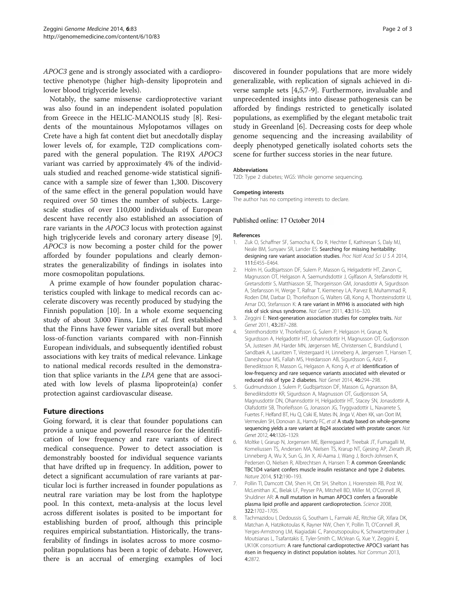<span id="page-1-0"></span>APOC3 gene and is strongly associated with a cardioprotective phenotype (higher high-density lipoprotein and lower blood triglyceride levels).

Notably, the same missense cardioprotective variant was also found in an independent isolated population from Greece in the HELIC-MANOLIS study [8]. Residents of the mountainous Mylopotamos villages on Crete have a high fat content diet but anecdotally display lower levels of, for example, T2D complications compared with the general population. The R19X APOC3 variant was carried by approximately 4% of the individuals studied and reached genome-wide statistical significance with a sample size of fewer than 1,300. Discovery of the same effect in the general population would have required over 50 times the number of subjects. Largescale studies of over 110,000 individuals of European descent have recently also established an association of rare variants in the APOC3 locus with protection against high triglyceride levels and coronary artery disease [\[9](#page-2-0)]. APOC3 is now becoming a poster child for the power afforded by founder populations and clearly demonstrates the generalizability of findings in isolates into more cosmopolitan populations.

A prime example of how founder population characteristics coupled with linkage to medical records can accelerate discovery was recently produced by studying the Finnish population [\[10\]](#page-2-0). In a whole exome sequencing study of about 3,000 Finns, Lim et al. first established that the Finns have fewer variable sites overall but more loss-of-function variants compared with non-Finnish European individuals, and subsequently identified robust associations with key traits of medical relevance. Linkage to national medical records resulted in the demonstration that splice variants in the LPA gene that are associated with low levels of plasma lipoprotein(a) confer protection against cardiovascular disease.

#### Future directions

Going forward, it is clear that founder populations can provide a unique and powerful resource for the identification of low frequency and rare variants of direct medical consequence. Power to detect association is demonstrably boosted for individual sequence variants that have drifted up in frequency. In addition, power to detect a significant accumulation of rare variants at particular loci is further increased in founder populations as neutral rare variation may be lost from the haplotype pool. In this context, meta-analysis at the locus level across different isolates is posited to be important for establishing burden of proof, although this principle requires empirical substantiation. Historically, the transferability of findings in isolates across to more cosmopolitan populations has been a topic of debate. However, there is an accrual of emerging examples of loci

discovered in founder populations that are more widely generalizable, with replication of signals achieved in diverse sample sets [4,5,7[-9](#page-2-0)]. Furthermore, invaluable and unprecedented insights into disease pathogenesis can be afforded by findings restricted to genetically isolated populations, as exemplified by the elegant metabolic trait study in Greenland [6]. Decreasing costs for deep whole genome sequencing and the increasing availability of deeply phenotyped genetically isolated cohorts sets the scene for further success stories in the near future.

#### **Abbreviations**

T2D: Type 2 diabetes; WGS: Whole genome sequencing.

The author has no competing interests to declare.

#### Published online: 17 October 2014

#### **References**

- 1. Zuk O, Schaffner SF, Samocha K, Do R, Hechter E, Kathiresan S, Daly MJ Neale BM, Sunyaev SR, Lander ES: Searching for missing heritability: designing rare variant association studies. Proc Natl Acad Sci U S A 2014, 111:E455–E464.
- 2. Holm H, Gudbjartsson DF, Sulem P, Masson G, Helgadottir HT, Zanon C, Magnusson OT, Helgason A, Saemundsdottir J, Gylfason A, Stefansdottir H, Gretarsdottir S, Matthiasson SE, Thorgeirsson GM, Jonasdottir A, Sigurdsson A, Stefansson H, Werge T, Rafnar T, Kiemeney LA, Parvez B, Muhammad R, Roden DM, Darbar D, Thorleifsson G, Walters GB, Kong A, Thorsteinsdottir U, Arnar DO, Stefansson K: A rare variant in MYH6 is associated with high risk of sick sinus syndrome. Nat Genet 2011, 43:316–320.
- 3. Zeggini E: Next-generation association studies for complex traits. Nat Genet 2011, 43:287–288.
- 4. Steinthorsdottir V, Thorleifsson G, Sulem P, Helgason H, Grarup N, Sigurdsson A, Helgadottir HT, Johannsdottir H, Magnusson OT, Gudjonsson SA, Justesen JM, Harder MN, Jørgensen ME, Christensen C, Brandslund I, Sandbæk A, Lauritzen T, Vestergaard H, Linneberg A, Jørgensen T, Hansen T, Daneshpour MS, Fallah MS, Hreidarsson AB, Sigurdsson G, Azizi F, Benediktsson R, Masson G, Helgason A, Kong A, et al: Identification of low-frequency and rare sequence variants associated with elevated or reduced risk of type 2 diabetes. Nat Genet 2014, 46:294–298.
- 5. Gudmundsson J, Sulem P, Gudbjartsson DF, Masson G, Agnarsson BA, Benediktsdottir KR, Sigurdsson A, Magnusson OT, Gudjonsson SA, Magnusdottir DN, Ohannsdottir H, Helgadottir HT, Stacey SN, Jonasdottir A, Olafsdottir SB, Thorleifsson G, Jonasson JG, Tryggvadottir L, Navarrete S, Fuertes F, Helfand BT, Hu Q, Csiki IE, Mates IN, Jinga V, Aben KK, van Oort IM, Vermeulen SH, Donovan JL, Hamdy FC, et al: A study based on whole-genome sequencing yields a rare variant at 8q24 associated with prostate cancer. Nat Genet 2012, 44:1326–1329.
- 6. Moltke I, Grarup N, Jorgensen ME, Bjerregaard P, Treebak JT, Fumagalli M, Korneliussen TS, Andersen MA, Nielsen TS, Krarup NT, Gjesing AP, Zierath JR, Linneberg A, Wu X, Sun G, Jin X, Al-Aama J, Wang J, Borch-Johnsen K, Pedersen O, Nielsen R, Albrechtsen A, Hansen T: A common Greenlandic TBC1D4 variant confers muscle insulin resistance and type 2 diabetes. Nature 2014, 512:190–193.
- 7. Pollin TI, Damcott CM, Shen H, Ott SH, Shelton J, Horenstein RB, Post W, McLenithan JC, Bielak LF, Peyser PA, Mitchell BD, Miller M, O'Connell JR, Shuldiner AR: A null mutation in human APOC3 confers a favorable plasma lipid profile and apparent cardioprotection. Science 2008, 322:1702–1705.
- 8. Tachmazidou I, Dedoussis G, Southam L, Farmaki AE, Ritchie GR, Xifara DK, Matchan A, Hatzikotoulas K, Rayner NW, Chen Y, Pollin TI, O'Connell JR, Yerges-Armstrong LM, Kiagiadaki C, Panoutsopoulou K, Schwartzentruber J, Moutsianas L, Tsafantakis E, Tyler-Smith C, McVean G, Xue Y, Zeggini E, UK10K consortium: A rare functional cardioprotective APOC3 variant has risen in frequency in distinct population isolates. Nat Commun 2013, 4:2872.